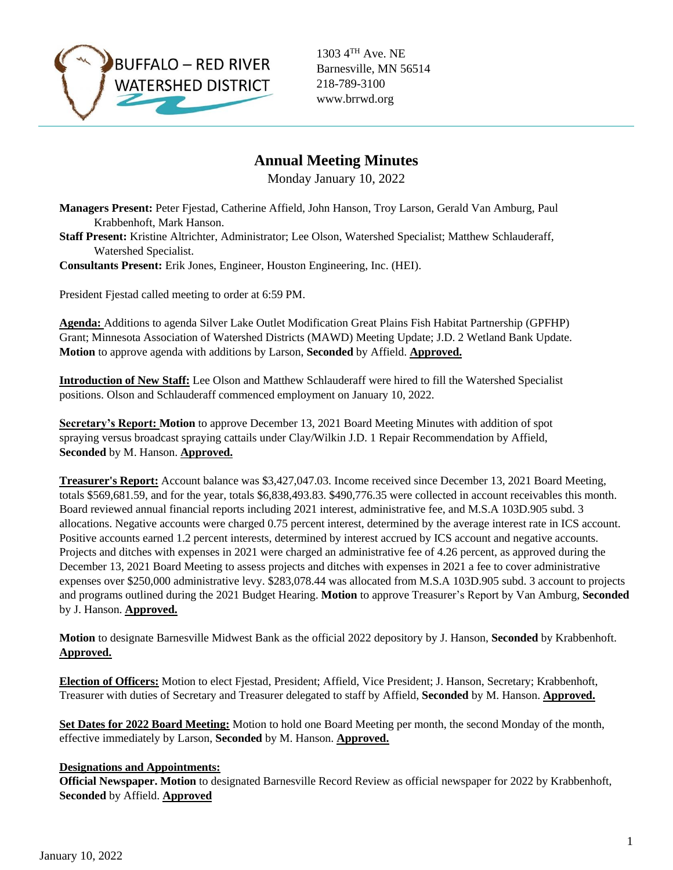

1303 4TH Ave. NE Barnesville, MN 56514 218-789-3100 www.brrwd.org

# **Annual Meeting Minutes**

Monday January 10, 2022

**Managers Present:** Peter Fjestad, Catherine Affield, John Hanson, Troy Larson, Gerald Van Amburg, Paul Krabbenhoft, Mark Hanson.

- **Staff Present:** Kristine Altrichter, Administrator; Lee Olson, Watershed Specialist; Matthew Schlauderaff, Watershed Specialist.
- **Consultants Present:** Erik Jones, Engineer, Houston Engineering, Inc. (HEI).

President Fjestad called meeting to order at 6:59 PM.

**Agenda:** Additions to agenda Silver Lake Outlet Modification Great Plains Fish Habitat Partnership (GPFHP) Grant; Minnesota Association of Watershed Districts (MAWD) Meeting Update; J.D. 2 Wetland Bank Update. **Motion** to approve agenda with additions by Larson, **Seconded** by Affield. **Approved.**

**Introduction of New Staff:** Lee Olson and Matthew Schlauderaff were hired to fill the Watershed Specialist positions. Olson and Schlauderaff commenced employment on January 10, 2022.

**Secretary's Report: Motion** to approve December 13, 2021 Board Meeting Minutes with addition of spot spraying versus broadcast spraying cattails under Clay/Wilkin J.D. 1 Repair Recommendation by Affield, **Seconded** by M. Hanson. **Approved.**

**Treasurer's Report:** Account balance was \$3,427,047.03. Income received since December 13, 2021 Board Meeting, totals \$569,681.59, and for the year, totals \$6,838,493.83. \$490,776.35 were collected in account receivables this month. Board reviewed annual financial reports including 2021 interest, administrative fee, and M.S.A 103D.905 subd. 3 allocations. Negative accounts were charged 0.75 percent interest, determined by the average interest rate in ICS account. Positive accounts earned 1.2 percent interests, determined by interest accrued by ICS account and negative accounts. Projects and ditches with expenses in 2021 were charged an administrative fee of 4.26 percent, as approved during the December 13, 2021 Board Meeting to assess projects and ditches with expenses in 2021 a fee to cover administrative expenses over \$250,000 administrative levy. \$283,078.44 was allocated from M.S.A 103D.905 subd. 3 account to projects and programs outlined during the 2021 Budget Hearing. **Motion** to approve Treasurer's Report by Van Amburg, **Seconded** by J. Hanson. **Approved.**

**Motion** to designate Barnesville Midwest Bank as the official 2022 depository by J. Hanson, **Seconded** by Krabbenhoft. **Approved.** 

**Election of Officers:** Motion to elect Fjestad, President; Affield, Vice President; J. Hanson, Secretary; Krabbenhoft, Treasurer with duties of Secretary and Treasurer delegated to staff by Affield, **Seconded** by M. Hanson. **Approved.** 

**Set Dates for 2022 Board Meeting:** Motion to hold one Board Meeting per month, the second Monday of the month, effective immediately by Larson, **Seconded** by M. Hanson. **Approved.** 

## **Designations and Appointments:**

**Official Newspaper. Motion** to designated Barnesville Record Review as official newspaper for 2022 by Krabbenhoft, **Seconded** by Affield. **Approved**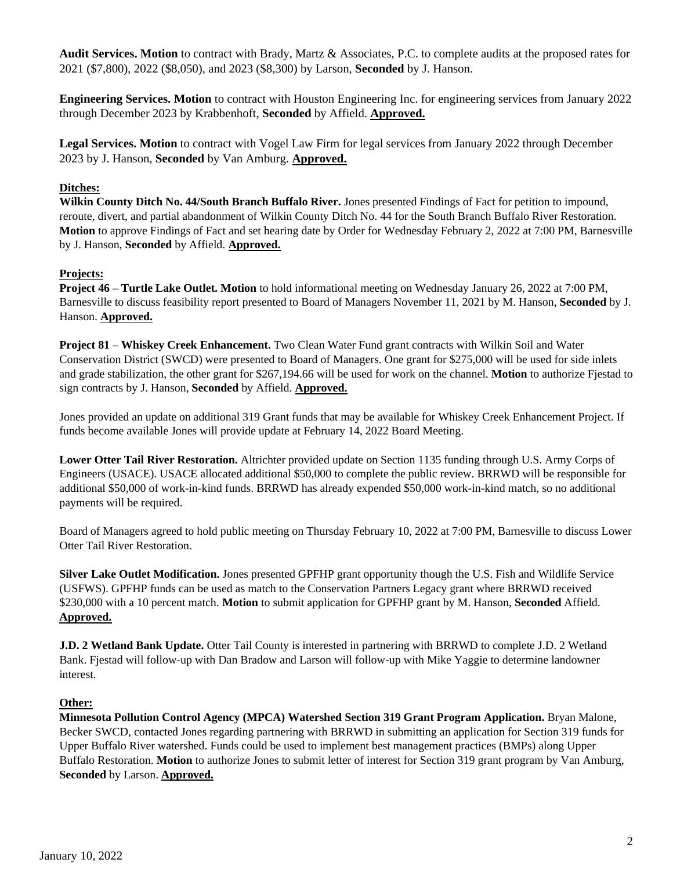**Audit Services. Motion** to contract with Brady, Martz & Associates, P.C. to complete audits at the proposed rates for 2021 (\$7,800), 2022 (\$8,050), and 2023 (\$8,300) by Larson, **Seconded** by J. Hanson.

**Engineering Services. Motion** to contract with Houston Engineering Inc. for engineering services from January 2022 through December 2023 by Krabbenhoft, **Seconded** by Affield. **Approved.** 

**Legal Services. Motion** to contract with Vogel Law Firm for legal services from January 2022 through December 2023 by J. Hanson, **Seconded** by Van Amburg. **Approved.** 

### **Ditches:**

**Wilkin County Ditch No. 44/South Branch Buffalo River.** Jones presented Findings of Fact for petition to impound, reroute, divert, and partial abandonment of Wilkin County Ditch No. 44 for the South Branch Buffalo River Restoration. **Motion** to approve Findings of Fact and set hearing date by Order for Wednesday February 2, 2022 at 7:00 PM, Barnesville by J. Hanson, **Seconded** by Affield. **Approved.** 

#### **Projects:**

**Project 46 – Turtle Lake Outlet. Motion** to hold informational meeting on Wednesday January 26, 2022 at 7:00 PM, Barnesville to discuss feasibility report presented to Board of Managers November 11, 2021 by M. Hanson, **Seconded** by J. Hanson. **Approved.** 

**Project 81 – Whiskey Creek Enhancement.** Two Clean Water Fund grant contracts with Wilkin Soil and Water Conservation District (SWCD) were presented to Board of Managers. One grant for \$275,000 will be used for side inlets and grade stabilization, the other grant for \$267,194.66 will be used for work on the channel. **Motion** to authorize Fjestad to sign contracts by J. Hanson, **Seconded** by Affield. **Approved.** 

Jones provided an update on additional 319 Grant funds that may be available for Whiskey Creek Enhancement Project. If funds become available Jones will provide update at February 14, 2022 Board Meeting.

**Lower Otter Tail River Restoration.** Altrichter provided update on Section 1135 funding through U.S. Army Corps of Engineers (USACE). USACE allocated additional \$50,000 to complete the public review. BRRWD will be responsible for additional \$50,000 of work-in-kind funds. BRRWD has already expended \$50,000 work-in-kind match, so no additional payments will be required.

Board of Managers agreed to hold public meeting on Thursday February 10, 2022 at 7:00 PM, Barnesville to discuss Lower Otter Tail River Restoration.

**Silver Lake Outlet Modification.** Jones presented GPFHP grant opportunity though the U.S. Fish and Wildlife Service (USFWS). GPFHP funds can be used as match to the Conservation Partners Legacy grant where BRRWD received \$230,000 with a 10 percent match. **Motion** to submit application for GPFHP grant by M. Hanson, **Seconded** Affield. **Approved.** 

**J.D. 2 Wetland Bank Update.** Otter Tail County is interested in partnering with BRRWD to complete J.D. 2 Wetland Bank. Fjestad will follow-up with Dan Bradow and Larson will follow-up with Mike Yaggie to determine landowner interest.

## **Other:**

**Minnesota Pollution Control Agency (MPCA) Watershed Section 319 Grant Program Application.** Bryan Malone, Becker SWCD, contacted Jones regarding partnering with BRRWD in submitting an application for Section 319 funds for Upper Buffalo River watershed. Funds could be used to implement best management practices (BMPs) along Upper Buffalo Restoration. **Motion** to authorize Jones to submit letter of interest for Section 319 grant program by Van Amburg, **Seconded** by Larson. **Approved.**